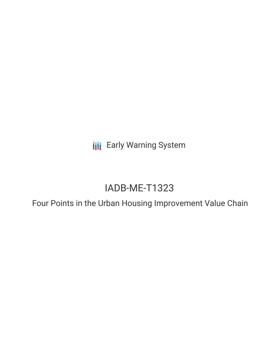**III** Early Warning System

# IADB-ME-T1323

Four Points in the Urban Housing Improvement Value Chain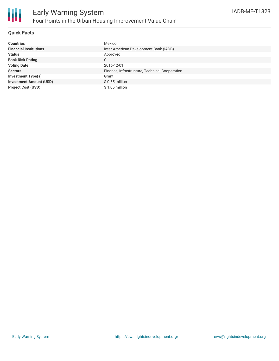

### **Quick Facts**

| <b>Countries</b>               | Mexico                                         |
|--------------------------------|------------------------------------------------|
| <b>Financial Institutions</b>  | Inter-American Development Bank (IADB)         |
| <b>Status</b>                  | Approved                                       |
| <b>Bank Risk Rating</b>        | C                                              |
| <b>Voting Date</b>             | 2016-12-01                                     |
| <b>Sectors</b>                 | Finance, Infrastructure, Technical Cooperation |
| <b>Investment Type(s)</b>      | Grant                                          |
| <b>Investment Amount (USD)</b> | $$0.55$ million                                |
| <b>Project Cost (USD)</b>      | $$1.05$ million                                |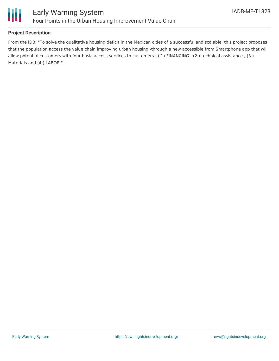

## **Project Description**

From the IDB: "To solve the qualitative housing deficit in the Mexican cities of a successful and scalable, this project proposes that the population access the value chain improving urban housing -through a new accessible from Smartphone app that will allow potential customers with four basic access services to customers : ( 1) FINANCING , (2 ) technical assistance , (3 ) Materials and (4 ) LABOR."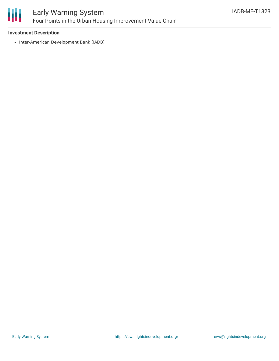

# Early Warning System Four Points in the Urban Housing Improvement Value Chain

### **Investment Description**

• Inter-American Development Bank (IADB)